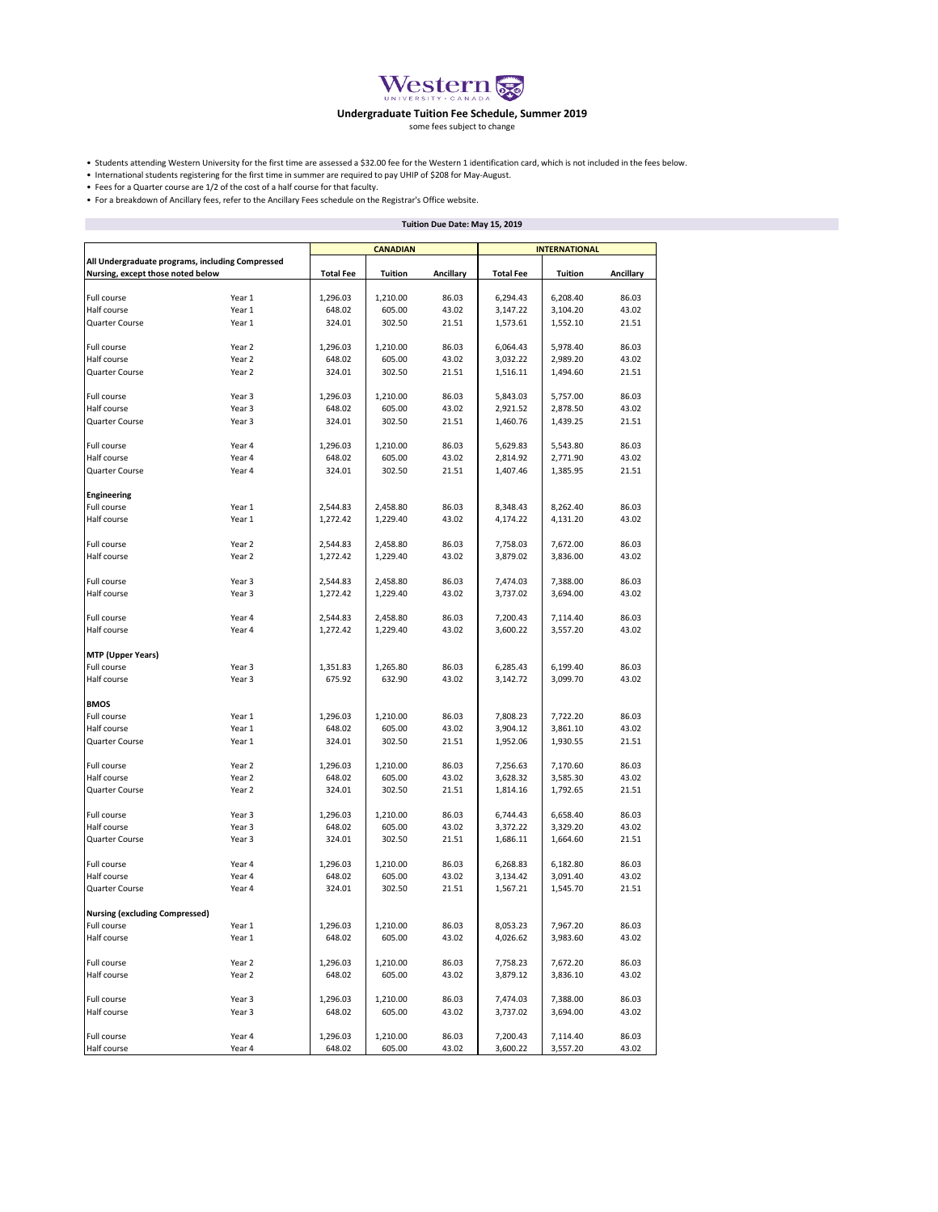

## **Undergraduate Tuition Fee Schedule, Summer 2019**

some fees subject to change

• Students attending Western University for the first time are assessed a \$32.00 fee for the Western 1 identification card, which is not included in the fees below.

• International students registering for the first time in summer are required to pay UHIP of \$208 for May-August.

• Fees for a Quarter course are 1/2 of the cost of a half course for that faculty.

• For a breakdown of Ancillary fees, refer to the Ancillary Fees schedule on the Registrar's Office website.

|                                                                                       |        | Tuition Due Date: May 15, 2019 |                 |           |                      |          |           |  |  |
|---------------------------------------------------------------------------------------|--------|--------------------------------|-----------------|-----------|----------------------|----------|-----------|--|--|
|                                                                                       |        |                                | <b>CANADIAN</b> |           | <b>INTERNATIONAL</b> |          |           |  |  |
| All Undergraduate programs, including Compressed<br>Nursing, except those noted below |        | <b>Total Fee</b>               | Tuition         | Ancillary | <b>Total Fee</b>     | Tuition  | Ancillary |  |  |
| Full course                                                                           | Year 1 | 1,296.03                       | 1,210.00        | 86.03     | 6,294.43             | 6,208.40 | 86.03     |  |  |
| Half course                                                                           | Year 1 | 648.02                         | 605.00          | 43.02     | 3,147.22             | 3,104.20 | 43.02     |  |  |
| Quarter Course                                                                        |        |                                |                 |           |                      |          |           |  |  |
|                                                                                       | Year 1 | 324.01                         | 302.50          | 21.51     | 1,573.61             | 1,552.10 | 21.51     |  |  |
| Full course                                                                           | Year 2 | 1,296.03                       | 1,210.00        | 86.03     | 6,064.43             | 5,978.40 | 86.03     |  |  |
| Half course                                                                           | Year 2 | 648.02                         | 605.00          | 43.02     | 3,032.22             | 2,989.20 | 43.02     |  |  |
| Quarter Course                                                                        | Year 2 | 324.01                         | 302.50          | 21.51     | 1,516.11             | 1,494.60 | 21.51     |  |  |
| Full course                                                                           | Year 3 | 1,296.03                       | 1,210.00        | 86.03     | 5,843.03             | 5,757.00 | 86.03     |  |  |
| Half course                                                                           | Year 3 | 648.02                         | 605.00          | 43.02     | 2,921.52             | 2,878.50 | 43.02     |  |  |
| Quarter Course                                                                        | Year 3 | 324.01                         | 302.50          | 21.51     | 1,460.76             | 1,439.25 | 21.51     |  |  |
|                                                                                       |        |                                |                 |           |                      |          |           |  |  |
| Full course                                                                           | Year 4 | 1,296.03                       | 1,210.00        | 86.03     | 5,629.83             | 5,543.80 | 86.03     |  |  |
| Half course                                                                           | Year 4 | 648.02                         | 605.00          | 43.02     | 2,814.92             | 2,771.90 | 43.02     |  |  |
| Quarter Course                                                                        | Year 4 | 324.01                         | 302.50          | 21.51     | 1,407.46             | 1,385.95 | 21.51     |  |  |
| <b>Engineering</b>                                                                    |        |                                |                 |           |                      |          |           |  |  |
| Full course                                                                           | Year 1 | 2,544.83                       | 2,458.80        | 86.03     | 8,348.43             | 8,262.40 | 86.03     |  |  |
| Half course                                                                           | Year 1 | 1,272.42                       | 1,229.40        | 43.02     | 4,174.22             | 4,131.20 | 43.02     |  |  |
| Full course                                                                           | Year 2 | 2,544.83                       | 2,458.80        | 86.03     | 7,758.03             | 7,672.00 | 86.03     |  |  |
| Half course                                                                           | Year 2 | 1,272.42                       |                 | 43.02     |                      |          | 43.02     |  |  |
|                                                                                       |        |                                | 1,229.40        |           | 3,879.02             | 3,836.00 |           |  |  |
| Full course                                                                           | Year 3 | 2,544.83                       | 2,458.80        | 86.03     | 7,474.03             | 7,388.00 | 86.03     |  |  |
| Half course                                                                           | Year 3 | 1,272.42                       | 1,229.40        | 43.02     | 3,737.02             | 3,694.00 | 43.02     |  |  |
| Full course                                                                           | Year 4 | 2,544.83                       | 2,458.80        | 86.03     | 7,200.43             | 7,114.40 | 86.03     |  |  |
| Half course                                                                           | Year 4 | 1,272.42                       | 1,229.40        | 43.02     | 3,600.22             | 3,557.20 | 43.02     |  |  |
|                                                                                       |        |                                |                 |           |                      |          |           |  |  |
| <b>MTP (Upper Years)</b>                                                              |        |                                |                 |           |                      |          |           |  |  |
| Full course                                                                           | Year 3 | 1,351.83                       | 1,265.80        | 86.03     | 6,285.43             | 6,199.40 | 86.03     |  |  |
| Half course                                                                           | Year 3 | 675.92                         | 632.90          | 43.02     | 3,142.72             | 3,099.70 | 43.02     |  |  |
| <b>BMOS</b>                                                                           |        |                                |                 |           |                      |          |           |  |  |
| Full course                                                                           | Year 1 | 1,296.03                       | 1,210.00        | 86.03     | 7,808.23             | 7,722.20 | 86.03     |  |  |
| Half course                                                                           | Year 1 | 648.02                         | 605.00          | 43.02     | 3,904.12             | 3,861.10 | 43.02     |  |  |
| Quarter Course                                                                        | Year 1 | 324.01                         | 302.50          | 21.51     | 1,952.06             | 1,930.55 | 21.51     |  |  |
| Full course                                                                           | Year 2 | 1,296.03                       | 1,210.00        | 86.03     | 7,256.63             | 7,170.60 | 86.03     |  |  |
| Half course                                                                           | Year 2 | 648.02                         | 605.00          | 43.02     | 3,628.32             | 3,585.30 | 43.02     |  |  |
| Quarter Course                                                                        | Year 2 | 324.01                         | 302.50          | 21.51     | 1,814.16             | 1,792.65 | 21.51     |  |  |
|                                                                                       |        |                                |                 |           |                      |          |           |  |  |
| Full course                                                                           | Year 3 | 1,296.03                       | 1,210.00        | 86.03     | 6,744.43             | 6,658.40 | 86.03     |  |  |
| Half course                                                                           | Year 3 | 648.02                         | 605.00          | 43.02     | 3,372.22             | 3,329.20 | 43.02     |  |  |
| Quarter Course                                                                        | Year 3 | 324.01                         | 302.50          | 21.51     | 1,686.11             | 1,664.60 | 21.51     |  |  |
| Full course                                                                           | Year 4 | 1,296.03                       | 1,210.00        | 86.03     | 6,268.83             | 6,182.80 | 86.03     |  |  |
| Half course                                                                           | Year 4 | 648.02                         | 605.00          | 43.02     | 3,134.42             | 3,091.40 | 43.02     |  |  |
| Quarter Course                                                                        | Year 4 | 324.01                         | 302.50          | 21.51     | 1,567.21             | 1,545.70 | 21.51     |  |  |
|                                                                                       |        |                                |                 |           |                      |          |           |  |  |
| <b>Nursing (excluding Compressed)</b>                                                 |        |                                |                 |           |                      |          |           |  |  |
| Full course                                                                           | Year 1 | 1,296.03                       | 1,210.00        | 86.03     | 8,053.23             | 7,967.20 | 86.03     |  |  |
| Half course                                                                           | Year 1 | 648.02                         | 605.00          | 43.02     | 4,026.62             | 3,983.60 | 43.02     |  |  |
| Full course                                                                           | Year 2 | 1,296.03                       | 1,210.00        | 86.03     | 7,758.23             | 7,672.20 | 86.03     |  |  |
| Half course                                                                           | Year 2 | 648.02                         | 605.00          | 43.02     | 3,879.12             | 3,836.10 | 43.02     |  |  |
| Full course                                                                           | Year 3 | 1,296.03                       | 1,210.00        | 86.03     | 7,474.03             | 7,388.00 | 86.03     |  |  |
| Half course                                                                           | Year 3 | 648.02                         | 605.00          | 43.02     | 3,737.02             | 3,694.00 | 43.02     |  |  |
|                                                                                       |        |                                |                 |           |                      |          |           |  |  |
| Full course                                                                           | Year 4 | 1,296.03                       | 1,210.00        | 86.03     | 7,200.43             | 7,114.40 | 86.03     |  |  |
| Half course                                                                           | Year 4 | 648.02                         | 605.00          | 43.02     | 3,600.22             | 3,557.20 | 43.02     |  |  |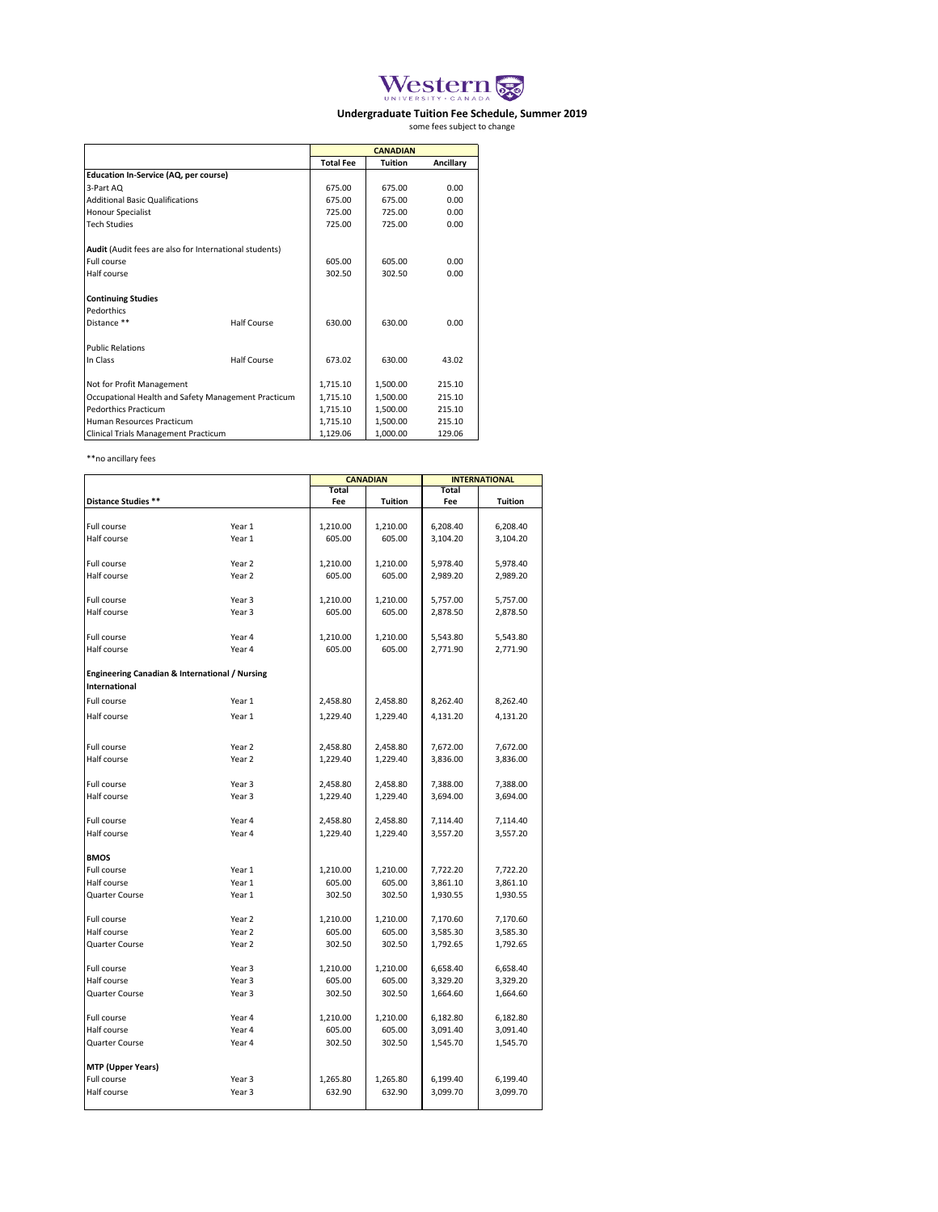

## **Undergraduate Tuition Fee Schedule, Summer 2019**<br>some fees subject to change

|                                                        |                    |                  | <b>CANADIAN</b> |           |
|--------------------------------------------------------|--------------------|------------------|-----------------|-----------|
|                                                        |                    | <b>Total Fee</b> | <b>Tuition</b>  | Ancillary |
| <b>Education In-Service (AQ, per course)</b>           |                    |                  |                 |           |
| 3-Part AQ                                              |                    | 675.00           | 675.00          | 0.00      |
| <b>Additional Basic Qualifications</b>                 |                    | 675.00           | 675.00          | 0.00      |
| <b>Honour Specialist</b>                               |                    | 725.00           | 725.00          | 0.00      |
| <b>Tech Studies</b>                                    |                    | 725.00           | 725.00          | 0.00      |
| Audit (Audit fees are also for International students) |                    |                  |                 |           |
| Full course                                            |                    | 605.00           | 605.00          | 0.00      |
| Half course                                            |                    | 302.50           | 302.50          | 0.00      |
| <b>Continuing Studies</b>                              |                    |                  |                 |           |
| Pedorthics                                             |                    |                  |                 |           |
| Distance **                                            | Half Course        | 630.00           | 630.00          | 0.00      |
| <b>Public Relations</b>                                |                    |                  |                 |           |
| In Class                                               | <b>Half Course</b> | 673.02           | 630.00          | 43.02     |
| Not for Profit Management                              |                    | 1.715.10         | 1.500.00        | 215.10    |
| Occupational Health and Safety Management Practicum    | 1,715.10           | 1.500.00         | 215.10          |           |
| <b>Pedorthics Practicum</b>                            |                    | 1,715.10         | 1.500.00        | 215.10    |
| Human Resources Practicum                              |                    | 1,715.10         | 1.500.00        | 215.10    |
| Clinical Trials Management Practicum                   |                    | 1.129.06         | 1.000.00        | 129.06    |

\*\*no ancillary fees

|                                                                        |                  |                  | <b>CANADIAN</b>  | <b>INTERNATIONAL</b> |                      |  |
|------------------------------------------------------------------------|------------------|------------------|------------------|----------------------|----------------------|--|
|                                                                        |                  | Total            |                  |                      |                      |  |
| Distance Studies **                                                    |                  | Fee              | <b>Tuition</b>   | Fee                  | Tuition              |  |
|                                                                        |                  |                  |                  |                      |                      |  |
| Full course                                                            | Year 1           | 1,210.00         | 1,210.00         | 6,208.40             | 6,208.40             |  |
| Half course                                                            | Year 1           | 605.00           | 605.00           | 3,104.20             | 3,104.20             |  |
|                                                                        |                  |                  |                  |                      |                      |  |
| Full course                                                            | Year 2           | 1,210.00         | 1,210.00         | 5,978.40             | 5,978.40             |  |
| Half course                                                            | Year 2           | 605.00           | 605.00           | 2,989.20             | 2,989.20             |  |
|                                                                        |                  |                  |                  |                      |                      |  |
| Full course                                                            | Year 3           | 1,210.00         | 1,210.00         | 5,757.00             | 5,757.00             |  |
| Half course                                                            | Year 3           | 605.00           | 605.00           | 2,878.50             | 2,878.50             |  |
|                                                                        |                  |                  |                  |                      |                      |  |
| Full course                                                            | Year 4           | 1,210.00         | 1,210.00         | 5,543.80             | 5,543.80             |  |
| Half course                                                            | Year 4           | 605.00           | 605.00           | 2,771.90             | 2,771.90             |  |
|                                                                        |                  |                  |                  |                      |                      |  |
| Engineering Canadian & International / Nursing<br><b>International</b> |                  |                  |                  |                      |                      |  |
|                                                                        |                  |                  |                  |                      |                      |  |
| Full course                                                            | Year 1           | 2,458.80         | 2,458.80         | 8,262.40             | 8,262.40             |  |
| Half course                                                            | Year 1           | 1,229.40         | 1,229.40         | 4,131.20             | 4,131.20             |  |
|                                                                        |                  |                  |                  |                      |                      |  |
| Full course                                                            | Year 2           | 2,458.80         | 2,458.80         | 7,672.00             | 7,672.00             |  |
| Half course                                                            | Year 2           | 1,229.40         | 1,229.40         | 3,836.00             | 3,836.00             |  |
|                                                                        |                  |                  |                  |                      |                      |  |
| Full course                                                            | Year 3           | 2,458.80         | 2,458.80         | 7,388.00             | 7,388.00             |  |
| Half course                                                            | Year 3           | 1,229.40         | 1,229.40         | 3,694.00             | 3,694.00             |  |
|                                                                        |                  |                  |                  |                      |                      |  |
| Full course                                                            | Year 4           | 2,458.80         | 2,458.80         | 7,114.40             | 7,114.40             |  |
| Half course                                                            | Year 4           | 1,229.40         | 1,229.40         | 3,557.20             | 3,557.20             |  |
|                                                                        |                  |                  |                  |                      |                      |  |
| <b>BMOS</b>                                                            |                  |                  |                  |                      |                      |  |
| Full course                                                            | Year 1           | 1,210.00         | 1,210.00         | 7,722.20             | 7,722.20             |  |
| Half course                                                            | Year 1           | 605.00           | 605.00           | 3,861.10             | 3,861.10             |  |
| Quarter Course                                                         | Year 1           | 302.50           | 302.50           | 1,930.55             | 1,930.55             |  |
|                                                                        |                  |                  |                  |                      |                      |  |
| Full course                                                            | Year 2           | 1,210.00         | 1,210.00         | 7,170.60             | 7,170.60             |  |
| Half course                                                            | Year 2           | 605.00           | 605.00           | 3,585.30             | 3,585.30             |  |
| Quarter Course                                                         | Year 2           | 302.50           | 302.50           | 1,792.65             | 1,792.65             |  |
|                                                                        |                  |                  |                  |                      |                      |  |
| Full course                                                            | Year 3<br>Year 3 | 1,210.00         | 1,210.00         | 6,658.40             | 6,658.40             |  |
| Half course<br>Quarter Course                                          | Year 3           | 605.00<br>302.50 | 605.00<br>302.50 | 3,329.20<br>1,664.60 | 3,329.20<br>1,664.60 |  |
|                                                                        |                  |                  |                  |                      |                      |  |
| Full course                                                            | Year 4           | 1,210.00         | 1,210.00         | 6,182.80             | 6,182.80             |  |
| Half course                                                            | Year 4           | 605.00           | 605.00           | 3,091.40             | 3,091.40             |  |
| Quarter Course                                                         | Year 4           | 302.50           | 302.50           | 1,545.70             | 1,545.70             |  |
|                                                                        |                  |                  |                  |                      |                      |  |
| <b>MTP (Upper Years)</b>                                               |                  |                  |                  |                      |                      |  |
| Full course                                                            | Year 3           | 1,265.80         | 1,265.80         | 6,199.40             | 6,199.40             |  |
| Half course                                                            | Year 3           | 632.90           | 632.90           | 3,099.70             | 3,099.70             |  |
|                                                                        |                  |                  |                  |                      |                      |  |